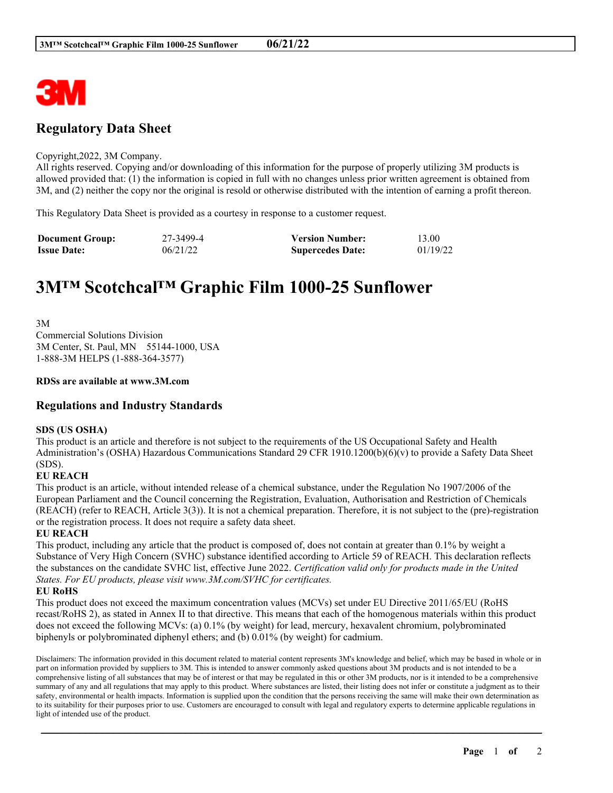

## **Regulatory Data Sheet**

#### Copyright,2022, 3M Company.

All rights reserved. Copying and/or downloading of this information for the purpose of properly utilizing 3M products is allowed provided that: (1) the information is copied in full with no changes unless prior written agreement is obtained from 3M, and (2) neither the copy nor the original is resold or otherwise distributed with the intention of earning a profit thereon.

This Regulatory Data Sheet is provided as a courtesy in response to a customer request.

| <b>Document Group:</b> | 27-3499-4 | <b>Version Number:</b>  | 13.00    |
|------------------------|-----------|-------------------------|----------|
| <b>Issue Date:</b>     | 06/21/22  | <b>Supercedes Date:</b> | 01/19/22 |

# **3M™ Scotchcal™ Graphic Film 1000-25 Sunflower**

3M Commercial Solutions Division 3M Center, St. Paul, MN 55144-1000, USA 1-888-3M HELPS (1-888-364-3577)

## **RDSs are available at www.3M.com**

## **Regulations and Industry Standards**

## **SDS (US OSHA)**

This product is an article and therefore is not subject to the requirements of the US Occupational Safety and Health Administration's (OSHA) Hazardous Communications Standard 29 CFR 1910.1200(b)(6)(v) to provide a Safety Data Sheet (SDS).

## **EU REACH**

This product is an article, without intended release of a chemical substance, under the Regulation No 1907/2006 of the European Parliament and the Council concerning the Registration, Evaluation, Authorisation and Restriction of Chemicals (REACH) (refer to REACH, Article 3(3)). It is not a chemical preparation. Therefore, it is not subject to the (pre)-registration or the registration process. It does not require a safety data sheet.

## **EU REACH**

This product, including any article that the product is composed of, does not contain at greater than 0.1% by weight a Substance of Very High Concern (SVHC) substance identified according to Article 59 of REACH. This declaration reflects the substances on the candidate SVHC list, effective June 2022. *Certification valid only for products made in the United States. For EU products, please visit www.3M.com/SVHC for certificates.*

## **EU RoHS**

This product does not exceed the maximum concentration values (MCVs) set under EU Directive 2011/65/EU (RoHS recast/RoHS 2), as stated in Annex II to that directive. This means that each of the homogenous materials within this product does not exceed the following MCVs: (a) 0.1% (by weight) for lead, mercury, hexavalent chromium, polybrominated biphenyls or polybrominated diphenyl ethers; and (b) 0.01% (by weight) for cadmium.

Disclaimers: The information provided in this document related to material content represents 3M's knowledge and belief, which may be based in whole or in part on information provided by suppliers to 3M. This is intended to answer commonly asked questions about 3M products and is not intended to be a comprehensive listing of all substances that may be of interest or that may be regulated in this or other 3M products, nor is it intended to be a comprehensive summary of any and all regulations that may apply to this product. Where substances are listed, their listing does not infer or constitute a judgment as to their safety, environmental or health impacts. Information is supplied upon the condition that the persons receiving the same will make their own determination as to its suitability for their purposes prior to use. Customers are encouraged to consult with legal and regulatory experts to determine applicable regulations in light of intended use of the product.

\_\_\_\_\_\_\_\_\_\_\_\_\_\_\_\_\_\_\_\_\_\_\_\_\_\_\_\_\_\_\_\_\_\_\_\_\_\_\_\_\_\_\_\_\_\_\_\_\_\_\_\_\_\_\_\_\_\_\_\_\_\_\_\_\_\_\_\_\_\_\_\_\_\_\_\_\_\_\_\_\_\_\_\_\_\_\_\_\_\_